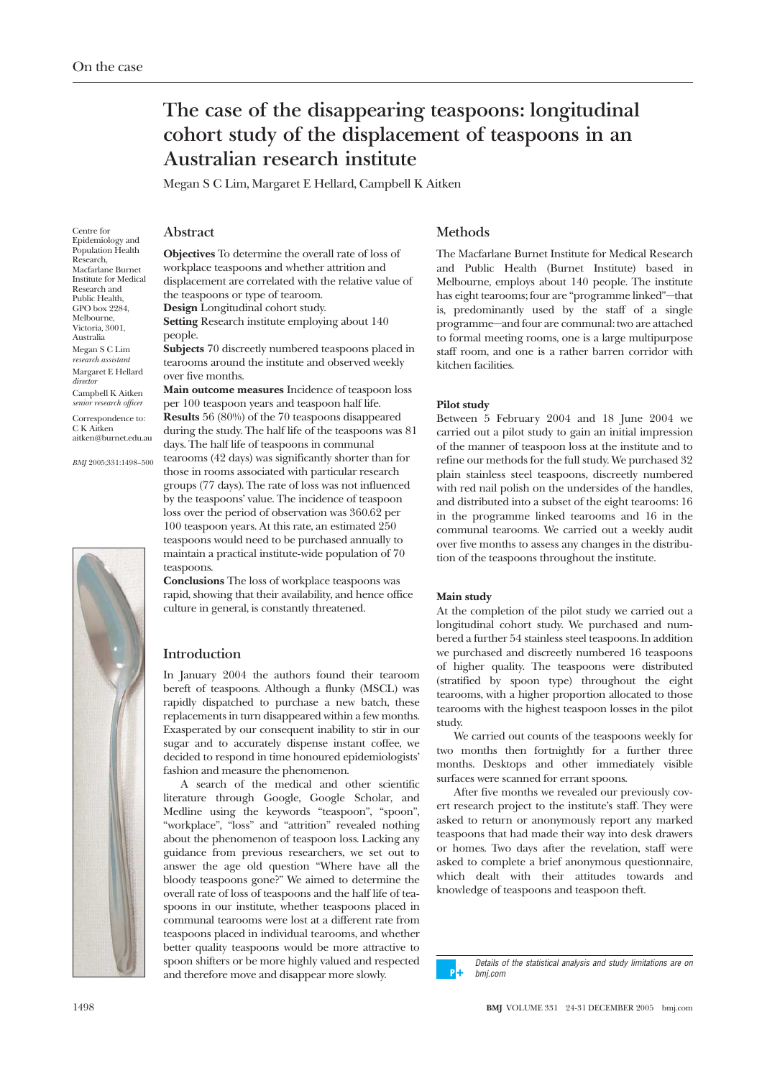# **The case of the disappearing teaspoons: longitudinal cohort study of the displacement of teaspoons in an Australian research institute**

Megan S C Lim, Margaret E Hellard, Campbell K Aitken

## **Abstract**

**Objectives** To determine the overall rate of loss of workplace teaspoons and whether attrition and displacement are correlated with the relative value of the teaspoons or type of tearoom. **Design** Longitudinal cohort study. **Setting** Research institute employing about 140 people.

**Subjects** 70 discreetly numbered teaspoons placed in tearooms around the institute and observed weekly over five months.

**Main outcome measures** Incidence of teaspoon loss per 100 teaspoon years and teaspoon half life. **Results** 56 (80%) of the 70 teaspoons disappeared during the study. The half life of the teaspoons was 81 days. The half life of teaspoons in communal tearooms (42 days) was significantly shorter than for those in rooms associated with particular research groups (77 days). The rate of loss was not influenced by the teaspoons' value. The incidence of teaspoon loss over the period of observation was 360.62 per 100 teaspoon years. At this rate, an estimated 250 teaspoons would need to be purchased annually to maintain a practical institute-wide population of 70 teaspoons.

**Conclusions** The loss of workplace teaspoons was rapid, showing that their availability, and hence office culture in general, is constantly threatened.

# **Introduction**

In January 2004 the authors found their tearoom bereft of teaspoons. Although a flunky (MSCL) was rapidly dispatched to purchase a new batch, these replacements in turn disappeared within a few months. Exasperated by our consequent inability to stir in our sugar and to accurately dispense instant coffee, we decided to respond in time honoured epidemiologists' fashion and measure the phenomenon.

A search of the medical and other scientific literature through Google, Google Scholar, and Medline using the keywords "teaspoon", "spoon", "workplace", "loss" and "attrition" revealed nothing about the phenomenon of teaspoon loss. Lacking any guidance from previous researchers, we set out to answer the age old question "Where have all the bloody teaspoons gone?" We aimed to determine the overall rate of loss of teaspoons and the half life of teaspoons in our institute, whether teaspoons placed in communal tearooms were lost at a different rate from teaspoons placed in individual tearooms, and whether better quality teaspoons would be more attractive to spoon shifters or be more highly valued and respected and therefore move and disappear more slowly.

## **Methods**

The Macfarlane Burnet Institute for Medical Research and Public Health (Burnet Institute) based in Melbourne, employs about 140 people. The institute has eight tearooms; four are "programme linked"—that is, predominantly used by the staff of a single programme—and four are communal: two are attached to formal meeting rooms, one is a large multipurpose staff room, and one is a rather barren corridor with kitchen facilities.

## **Pilot study**

Between 5 February 2004 and 18 June 2004 we carried out a pilot study to gain an initial impression of the manner of teaspoon loss at the institute and to refine our methods for the full study. We purchased 32 plain stainless steel teaspoons, discreetly numbered with red nail polish on the undersides of the handles, and distributed into a subset of the eight tearooms: 16 in the programme linked tearooms and 16 in the communal tearooms. We carried out a weekly audit over five months to assess any changes in the distribution of the teaspoons throughout the institute.

#### **Main study**

At the completion of the pilot study we carried out a longitudinal cohort study. We purchased and numbered a further 54 stainless steel teaspoons. In addition we purchased and discreetly numbered 16 teaspoons of higher quality. The teaspoons were distributed (stratified by spoon type) throughout the eight tearooms, with a higher proportion allocated to those tearooms with the highest teaspoon losses in the pilot study.

We carried out counts of the teaspoons weekly for two months then fortnightly for a further three months. Desktops and other immediately visible surfaces were scanned for errant spoons.

After five months we revealed our previously covert research project to the institute's staff. They were asked to return or anonymously report any marked teaspoons that had made their way into desk drawers or homes. Two days after the revelation, staff were asked to complete a brief anonymous questionnaire, which dealt with their attitudes towards and knowledge of teaspoons and teaspoon theft.



Centre for Epidemiology and Population Health Research, Macfarlane Burnet Institute for Medical Research and Public Health, GPO box 2284 Melbourne, Victoria, 3001, Australia Megan S C Lim *research assistant* Margaret E Hellard *director* Campbell K Aitken *senior research officer* Correspondence to:

C K Aitken aitken@burnet.edu.au

*BMJ* 2005;331:1498–500

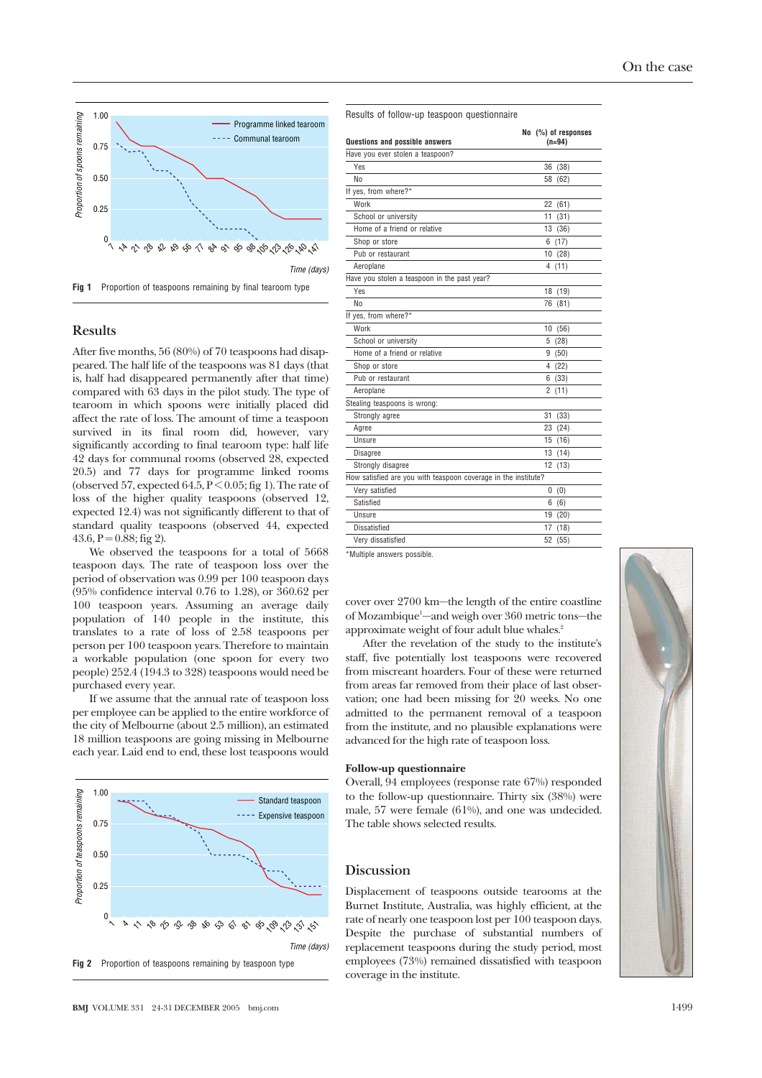

**Fig 1** Proportion of teaspoons remaining by final tearoom type

## **Results**

After five months, 56 (80%) of 70 teaspoons had disappeared. The half life of the teaspoons was 81 days (that is, half had disappeared permanently after that time) compared with 63 days in the pilot study. The type of tearoom in which spoons were initially placed did affect the rate of loss. The amount of time a teaspoon survived in its final room did, however, vary significantly according to final tearoom type: half life 42 days for communal rooms (observed 28, expected 20.5) and 77 days for programme linked rooms (observed 57, expected 64.5,  $P \le 0.05$ ; fig 1). The rate of loss of the higher quality teaspoons (observed 12, expected 12.4) was not significantly different to that of standard quality teaspoons (observed 44, expected  $43.6, P = 0.88$ ; fig 2).

We observed the teaspoons for a total of 5668 teaspoon days. The rate of teaspoon loss over the period of observation was 0.99 per 100 teaspoon days (95% confidence interval 0.76 to 1.28), or 360.62 per 100 teaspoon years. Assuming an average daily population of 140 people in the institute, this translates to a rate of loss of 2.58 teaspoons per person per 100 teaspoon years. Therefore to maintain a workable population (one spoon for every two people) 252.4 (194.3 to 328) teaspoons would need be purchased every year.

If we assume that the annual rate of teaspoon loss per employee can be applied to the entire workforce of the city of Melbourne (about 2.5 million), an estimated 18 million teaspoons are going missing in Melbourne each year. Laid end to end, these lost teaspoons would





Results of follow-up teaspoon questionnaire

| <b>Questions and possible answers</b>                          | No (%) of responses<br>$(n=94)$ |
|----------------------------------------------------------------|---------------------------------|
| Have you ever stolen a teaspoon?                               |                                 |
| Yes                                                            | 36 (38)                         |
| No                                                             | 58 (62)                         |
| If yes, from where?*                                           |                                 |
| Work                                                           | 22 (61)                         |
| School or university                                           | 11(31)                          |
| Home of a friend or relative                                   | 13 (36)                         |
| Shop or store                                                  | 6(17)                           |
| Pub or restaurant                                              | 10(28)                          |
| Aeroplane                                                      | 4(11)                           |
| Have you stolen a teaspoon in the past year?                   |                                 |
| Yes                                                            | 18 (19)                         |
| No                                                             | 76 (81)                         |
| If yes, from where?*                                           |                                 |
| Work                                                           | 10(56)                          |
| School or university                                           | 5(28)                           |
| Home of a friend or relative                                   | 9(50)                           |
| Shop or store                                                  | 4 (22)                          |
| Pub or restaurant                                              | 6(33)                           |
| Aeroplane                                                      | 2(11)                           |
| Stealing teaspoons is wrong:                                   |                                 |
| Strongly agree                                                 | 31(33)                          |
| Agree                                                          | 23 (24)                         |
| Unsure                                                         | 15 (16)                         |
| <b>Disagree</b>                                                | 13 (14)                         |
| Strongly disagree                                              | 12 (13)                         |
| How satisfied are you with teaspoon coverage in the institute? |                                 |
| Very satisfied                                                 | 0(0)                            |
| Satisfied                                                      | 6(6)                            |
| Unsure                                                         | 19 (20)                         |
| Dissatisfied                                                   | 17 (18)                         |
| Very dissatisfied                                              | 52 (55)                         |

\*Multiple answers possible.

cover over 2700 km—the length of the entire coastline of Mozambique<sup>1</sup>—and weigh over 360 metric tons—the approximate weight of four adult blue whales.<sup>2</sup>

After the revelation of the study to the institute's staff, five potentially lost teaspoons were recovered from miscreant hoarders. Four of these were returned from areas far removed from their place of last observation; one had been missing for 20 weeks. No one admitted to the permanent removal of a teaspoon from the institute, and no plausible explanations were advanced for the high rate of teaspoon loss.

#### **Follow-up questionnaire**

Overall, 94 employees (response rate 67%) responded to the follow-up questionnaire. Thirty six (38%) were male, 57 were female (61%), and one was undecided. The table shows selected results.

# **Discussion**

Displacement of teaspoons outside tearooms at the Burnet Institute, Australia, was highly efficient, at the rate of nearly one teaspoon lost per 100 teaspoon days. Despite the purchase of substantial numbers of replacement teaspoons during the study period, most employees (73%) remained dissatisfied with teaspoon coverage in the institute.